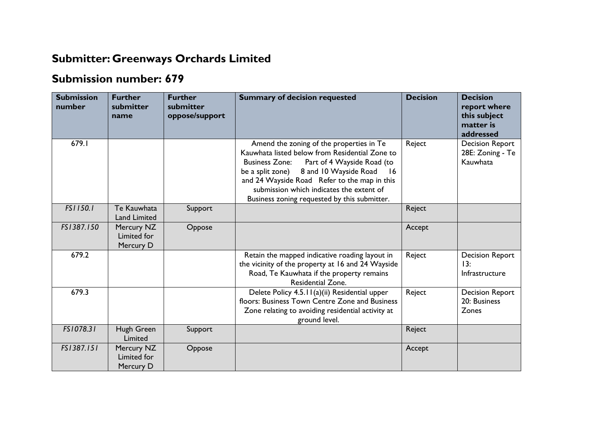## **Submitter: Greenways Orchards Limited**

## **Submission number: 679**

| <b>Submission</b><br>number | <b>Further</b><br>submitter<br>name    | <b>Further</b><br>submitter<br>oppose/support | <b>Summary of decision requested</b>                                                                                                                                                                                                                                                                                                           | <b>Decision</b> | <b>Decision</b><br>report where<br>this subject<br>matter is<br>addressed |
|-----------------------------|----------------------------------------|-----------------------------------------------|------------------------------------------------------------------------------------------------------------------------------------------------------------------------------------------------------------------------------------------------------------------------------------------------------------------------------------------------|-----------------|---------------------------------------------------------------------------|
| 679.I                       |                                        |                                               | Amend the zoning of the properties in Te<br>Kauwhata listed below from Residential Zone to<br><b>Business Zone:</b><br>Part of 4 Wayside Road (to<br>be a split zone) 8 and 10 Wayside Road<br>-16<br>and 24 Wayside Road Refer to the map in this<br>submission which indicates the extent of<br>Business zoning requested by this submitter. | Reject          | <b>Decision Report</b><br>28E: Zoning - Te<br>Kauwhata                    |
| FS1150.1                    | Te Kauwhata<br><b>Land Limited</b>     | Support                                       |                                                                                                                                                                                                                                                                                                                                                | Reject          |                                                                           |
| FS1387.150                  | Mercury NZ<br>Limited for<br>Mercury D | Oppose                                        |                                                                                                                                                                                                                                                                                                                                                | Accept          |                                                                           |
| 679.2                       |                                        |                                               | Retain the mapped indicative roading layout in<br>the vicinity of the property at 16 and 24 Wayside<br>Road, Te Kauwhata if the property remains<br>Residential Zone.                                                                                                                                                                          | Reject          | <b>Decision Report</b><br>13:<br>Infrastructure                           |
| 679.3                       |                                        |                                               | Delete Policy 4.5.11(a)(ii) Residential upper<br>floors: Business Town Centre Zone and Business<br>Zone relating to avoiding residential activity at<br>ground level.                                                                                                                                                                          | Reject          | <b>Decision Report</b><br>20: Business<br>Zones                           |
| FS1078.31                   | Hugh Green<br>Limited                  | Support                                       |                                                                                                                                                                                                                                                                                                                                                | Reject          |                                                                           |
| FS1387.151                  | Mercury NZ<br>Limited for<br>Mercury D | Oppose                                        |                                                                                                                                                                                                                                                                                                                                                | Accept          |                                                                           |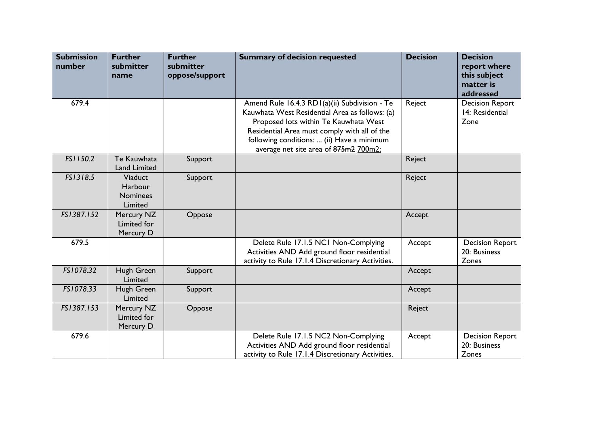| <b>Submission</b><br>number | <b>Further</b><br>submitter<br>name              | <b>Further</b><br>submitter<br>oppose/support | <b>Summary of decision requested</b>                                                                                                                                                                                                                                            | <b>Decision</b> | <b>Decision</b><br>report where<br>this subject<br>matter is<br>addressed |
|-----------------------------|--------------------------------------------------|-----------------------------------------------|---------------------------------------------------------------------------------------------------------------------------------------------------------------------------------------------------------------------------------------------------------------------------------|-----------------|---------------------------------------------------------------------------|
| 679.4                       |                                                  |                                               | Amend Rule 16.4.3 RD1(a)(ii) Subdivision - Te<br>Kauwhata West Residential Area as follows: (a)<br>Proposed lots within Te Kauwhata West<br>Residential Area must comply with all of the<br>following conditions:  (ii) Have a minimum<br>average net site area of 875m2 700m2; | Reject          | <b>Decision Report</b><br>14: Residential<br>Zone                         |
| FS1150.2                    | Te Kauwhata<br><b>Land Limited</b>               | Support                                       |                                                                                                                                                                                                                                                                                 | Reject          |                                                                           |
| FS1318.5                    | Viaduct<br>Harbour<br><b>Nominees</b><br>Limited | Support                                       |                                                                                                                                                                                                                                                                                 | Reject          |                                                                           |
| FS1387.152                  | Mercury NZ<br>Limited for<br>Mercury D           | Oppose                                        |                                                                                                                                                                                                                                                                                 | Accept          |                                                                           |
| 679.5                       |                                                  |                                               | Delete Rule 17.1.5 NC1 Non-Complying<br>Activities AND Add ground floor residential<br>activity to Rule 17.1.4 Discretionary Activities.                                                                                                                                        | Accept          | <b>Decision Report</b><br>20: Business<br>Zones                           |
| FS1078.32                   | Hugh Green<br>Limited                            | Support                                       |                                                                                                                                                                                                                                                                                 | Accept          |                                                                           |
| FS1078.33                   | Hugh Green<br>Limited                            | Support                                       |                                                                                                                                                                                                                                                                                 | Accept          |                                                                           |
| FS1387.153                  | Mercury NZ<br>Limited for<br>Mercury D           | Oppose                                        |                                                                                                                                                                                                                                                                                 | Reject          |                                                                           |
| 679.6                       |                                                  |                                               | Delete Rule 17.1.5 NC2 Non-Complying<br>Activities AND Add ground floor residential<br>activity to Rule 17.1.4 Discretionary Activities.                                                                                                                                        | Accept          | <b>Decision Report</b><br>20: Business<br>Zones                           |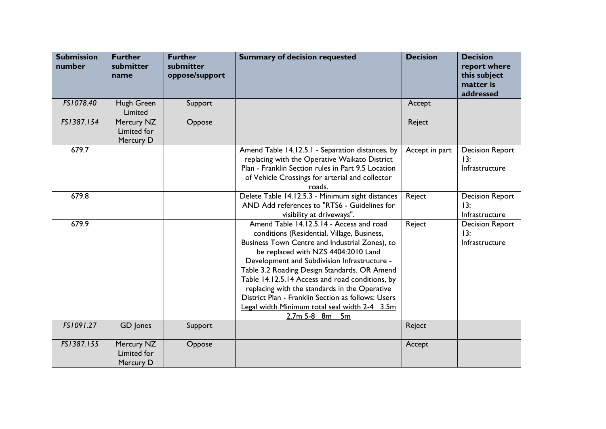| <b>Submission</b><br>number | <b>Further</b><br>submitter<br>name    | <b>Further</b><br>submitter<br>oppose/support | <b>Summary of decision requested</b>                                                                                                                                                                                                                                                                                                                                                                                                                                                                            | <b>Decision</b> | <b>Decision</b><br>report where<br>this subject<br>matter is<br>addressed |
|-----------------------------|----------------------------------------|-----------------------------------------------|-----------------------------------------------------------------------------------------------------------------------------------------------------------------------------------------------------------------------------------------------------------------------------------------------------------------------------------------------------------------------------------------------------------------------------------------------------------------------------------------------------------------|-----------------|---------------------------------------------------------------------------|
| FS1078.40                   | Hugh Green<br>Limited                  | Support                                       |                                                                                                                                                                                                                                                                                                                                                                                                                                                                                                                 | Accept          |                                                                           |
| FS1387.154                  | Mercury NZ<br>Limited for<br>Mercury D | Oppose                                        |                                                                                                                                                                                                                                                                                                                                                                                                                                                                                                                 | Reject          |                                                                           |
| 679.7                       |                                        |                                               | Amend Table 14.12.5.1 - Separation distances, by<br>replacing with the Operative Waikato District<br>Plan - Franklin Section rules in Part 9.5 Location<br>of Vehicle Crossings for arterial and collector<br>roads.                                                                                                                                                                                                                                                                                            | Accept in part  | <b>Decision Report</b><br>13:<br>Infrastructure                           |
| 679.8                       |                                        |                                               | Delete Table 14.12.5.3 - Minimum sight distances<br>AND Add references to "RTS6 - Guidelines for<br>visibility at driveways".                                                                                                                                                                                                                                                                                                                                                                                   | Reject          | <b>Decision Report</b><br>13:<br>Infrastructure                           |
| 679.9                       |                                        |                                               | Amend Table 14.12.5.14 - Access and road<br>conditions (Residential, Village, Business,<br>Business Town Centre and Industrial Zones), to<br>be replaced with NZS 4404:2010 Land<br>Development and Subdivision Infrastructure -<br>Table 3.2 Roading Design Standards. OR Amend<br>Table 14.12.5.14 Access and road conditions, by<br>replacing with the standards in the Operative<br>District Plan - Franklin Section as follows: Users<br>Legal width Minimum total seal width 2-4 3.5m<br>$2.7m 5-8 8m 5m$ | Reject          | <b>Decision Report</b><br>13:<br>Infrastructure                           |
| FS1091.27                   | GD Jones                               | Support                                       |                                                                                                                                                                                                                                                                                                                                                                                                                                                                                                                 | Reject          |                                                                           |
| FS1387.155                  | Mercury NZ<br>Limited for<br>Mercury D | Oppose                                        |                                                                                                                                                                                                                                                                                                                                                                                                                                                                                                                 | Accept          |                                                                           |